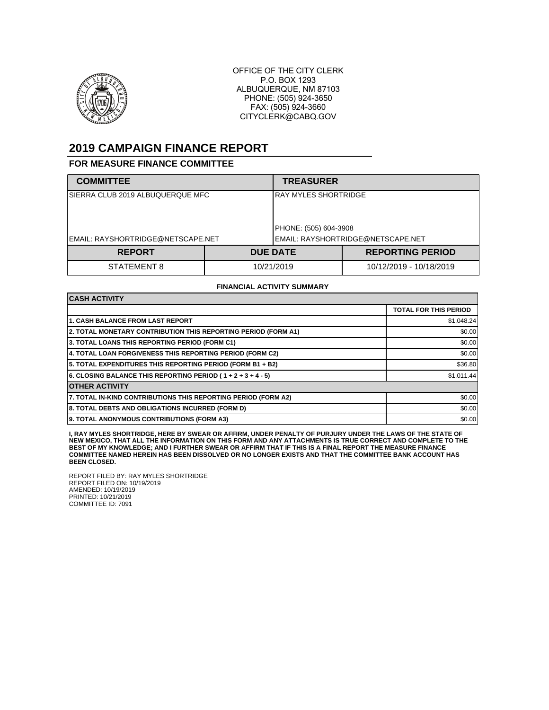

OFFICE OF THE CITY CLERK P.O. BOX 1293 ALBUQUERQUE, NM 87103 PHONE: (505) 924-3650 FAX: (505) 924-3660 CITYCLERK@CABQ.GOV

## **2019 CAMPAIGN FINANCE REPORT**

## **FOR MEASURE FINANCE COMMITTEE**

| <b>COMMITTEE</b>                  |            | <b>TREASURER</b>                  |                         |  |
|-----------------------------------|------------|-----------------------------------|-------------------------|--|
| SIERRA CLUB 2019 ALBUQUERQUE MFC  |            | IRAY MYLES SHORTRIDGE             |                         |  |
|                                   |            | PHONE: (505) 604-3908             |                         |  |
| EMAIL: RAYSHORTRIDGE@NETSCAPE.NET |            | EMAIL: RAYSHORTRIDGE@NETSCAPE.NET |                         |  |
| <b>REPORT</b>                     |            | <b>DUE DATE</b>                   | <b>REPORTING PERIOD</b> |  |
| STATEMENT 8                       | 10/21/2019 |                                   | 10/12/2019 - 10/18/2019 |  |

## **FINANCIAL ACTIVITY SUMMARY**

| <b>CASH ACTIVITY</b>                                           |                              |  |  |  |
|----------------------------------------------------------------|------------------------------|--|--|--|
|                                                                | <b>TOTAL FOR THIS PERIOD</b> |  |  |  |
| 1. CASH BALANCE FROM LAST REPORT                               | \$1,048.24                   |  |  |  |
| 2. TOTAL MONETARY CONTRIBUTION THIS REPORTING PERIOD (FORM A1) | \$0.00                       |  |  |  |
| 3. TOTAL LOANS THIS REPORTING PERIOD (FORM C1)                 | \$0.00                       |  |  |  |
| 4. TOTAL LOAN FORGIVENESS THIS REPORTING PERIOD (FORM C2)      | \$0.00                       |  |  |  |
| 5. TOTAL EXPENDITURES THIS REPORTING PERIOD (FORM B1 + B2)     | \$36.80                      |  |  |  |
| 6. CLOSING BALANCE THIS REPORTING PERIOD (1+2+3+4-5)           | \$1,011.44                   |  |  |  |
| <b>OTHER ACTIVITY</b>                                          |                              |  |  |  |
| 7. TOTAL IN-KIND CONTRIBUTIONS THIS REPORTING PERIOD (FORM A2) | \$0.00                       |  |  |  |
| 8. TOTAL DEBTS AND OBLIGATIONS INCURRED (FORM D)               | \$0.00                       |  |  |  |
| 9. TOTAL ANONYMOUS CONTRIBUTIONS (FORM A3)                     | \$0.00                       |  |  |  |

**I, RAY MYLES SHORTRIDGE, HERE BY SWEAR OR AFFIRM, UNDER PENALTY OF PURJURY UNDER THE LAWS OF THE STATE OF NEW MEXICO, THAT ALL THE INFORMATION ON THIS FORM AND ANY ATTACHMENTS IS TRUE CORRECT AND COMPLETE TO THE BEST OF MY KNOWLEDGE; AND I FURTHER SWEAR OR AFFIRM THAT IF THIS IS A FINAL REPORT THE MEASURE FINANCE COMMITTEE NAMED HEREIN HAS BEEN DISSOLVED OR NO LONGER EXISTS AND THAT THE COMMITTEE BANK ACCOUNT HAS BEEN CLOSED.**

REPORT FILED BY: RAY MYLES SHORTRIDGE REPORT FILED ON: 10/19/2019 AMENDED: 10/19/2019 PRINTED: 10/21/2019 COMMITTEE ID: 7091